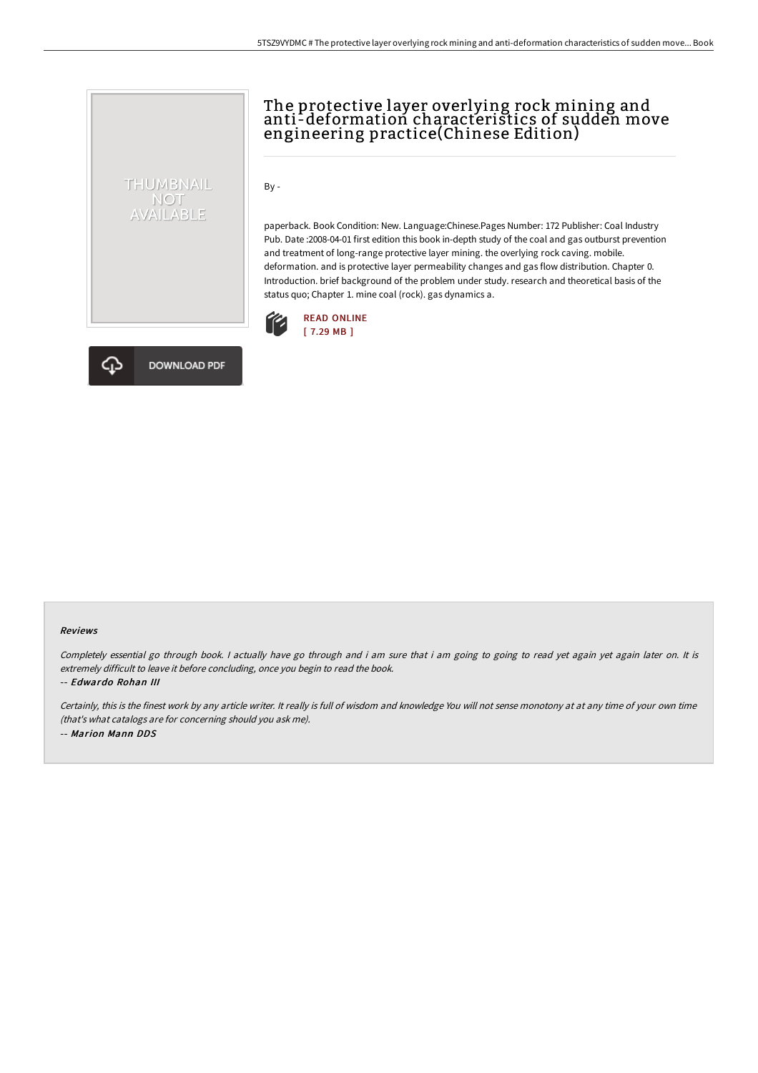

# The protective layer overlying rock mining and anti-deformation characteristics of sudden move engineering practice(Chinese Edition)

By -

paperback. Book Condition: New. Language:Chinese.Pages Number: 172 Publisher: Coal Industry Pub. Date :2008-04-01 first edition this book in-depth study of the coal and gas outburst prevention and treatment of long-range protective layer mining. the overlying rock caving. mobile. deformation. and is protective layer permeability changes and gas flow distribution. Chapter 0. Introduction. brief background of the problem under study. research and theoretical basis of the status quo; Chapter 1. mine coal (rock). gas dynamics a.





#### Reviews

Completely essential go through book. I actually have go through and i am sure that i am going to going to read yet again yet again later on. It is extremely difficult to leave it before concluding, once you begin to read the book.

-- Edwardo Rohan III

Certainly, this is the finest work by any article writer. It really is full of wisdom and knowledge You will not sense monotony at at any time of your own time (that's what catalogs are for concerning should you ask me). -- Marion Mann DDS